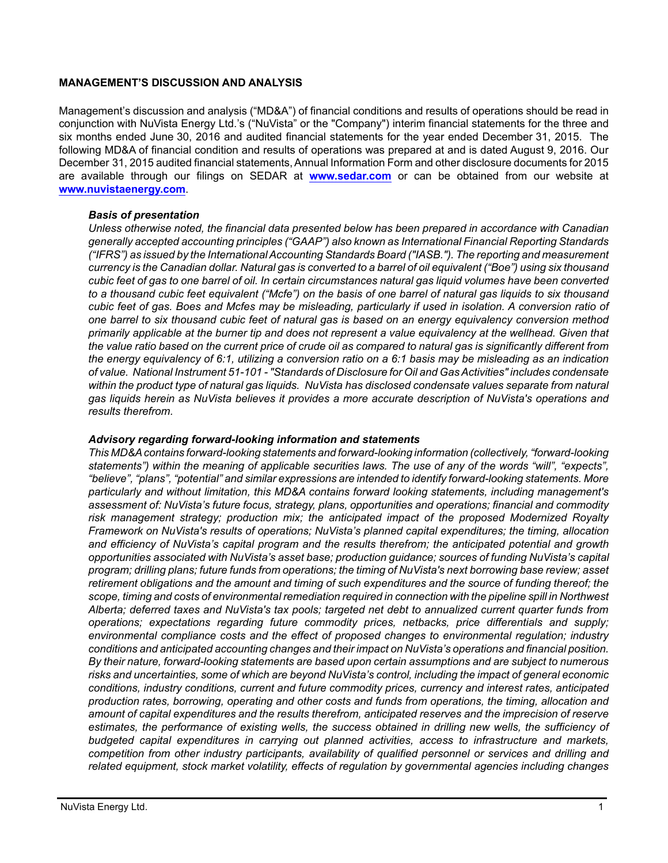### **MANAGEMENT'S DISCUSSION AND ANALYSIS**

Management's discussion and analysis ("MD&A") of financial conditions and results of operations should be read in conjunction with NuVista Energy Ltd.'s ("NuVista" or the "Company") interim financial statements for the three and six months ended June 30, 2016 and audited financial statements for the year ended December 31, 2015. The following MD&A of financial condition and results of operations was prepared at and is dated August 9, 2016. Our December 31, 2015 audited financial statements, Annual Information Form and other disclosure documents for 2015 are available through our filings on SEDAR at **[www.sedar.com](http://www.sedar.com)** or can be obtained from our website at **[www.nuvistaenergy.com](http://www.nuvistaenergy.com)**.

### *Basis of presentation*

*Unless otherwise noted, the financial data presented below has been prepared in accordance with Canadian generally accepted accounting principles ("GAAP") also known as International Financial Reporting Standards ("IFRS") as issued by the International Accounting Standards Board ("IASB."). The reporting and measurement currency is the Canadian dollar. Natural gas is converted to a barrel of oil equivalent ("Boe") using six thousand cubic feet of gas to one barrel of oil. In certain circumstances natural gas liquid volumes have been converted to a thousand cubic feet equivalent ("Mcfe") on the basis of one barrel of natural gas liquids to six thousand cubic feet of gas. Boes and Mcfes may be misleading, particularly if used in isolation. A conversion ratio of one barrel to six thousand cubic feet of natural gas is based on an energy equivalency conversion method primarily applicable at the burner tip and does not represent a value equivalency at the wellhead. Given that the value ratio based on the current price of crude oil as compared to natural gas is significantly different from the energy equivalency of 6:1, utilizing a conversion ratio on a 6:1 basis may be misleading as an indication of value. National Instrument 51-101 - "Standards of Disclosure for Oil and Gas Activities" includes condensate within the product type of natural gas liquids. NuVista has disclosed condensate values separate from natural gas liquids herein as NuVista believes it provides a more accurate description of NuVista's operations and results therefrom.* 

# *Advisory regarding forward-looking information and statements*

*This MD&A contains forward-looking statements and forward-looking information (collectively, "forward-looking statements") within the meaning of applicable securities laws. The use of any of the words "will", "expects", "believe", "plans", "potential" and similar expressions are intended to identify forward-looking statements. More particularly and without limitation, this MD&A contains forward looking statements, including management's assessment of: NuVista's future focus, strategy, plans, opportunities and operations; financial and commodity risk management strategy; production mix; the anticipated impact of the proposed Modernized Royalty Framework on NuVista's results of operations; NuVista's planned capital expenditures; the timing, allocation and efficiency of NuVista's capital program and the results therefrom; the anticipated potential and growth opportunities associated with NuVista's asset base; production guidance; sources of funding NuVista's capital program; drilling plans; future funds from operations; the timing of NuVista's next borrowing base review; asset retirement obligations and the amount and timing of such expenditures and the source of funding thereof; the scope, timing and costs of environmental remediation required in connection with the pipeline spill in Northwest Alberta; deferred taxes and NuVista's tax pools; targeted net debt to annualized current quarter funds from operations; expectations regarding future commodity prices, netbacks, price differentials and supply; environmental compliance costs and the effect of proposed changes to environmental regulation; industry conditions and anticipated accounting changes and their impact on NuVista's operations and financial position. By their nature, forward-looking statements are based upon certain assumptions and are subject to numerous risks and uncertainties, some of which are beyond NuVista's control, including the impact of general economic conditions, industry conditions, current and future commodity prices, currency and interest rates, anticipated production rates, borrowing, operating and other costs and funds from operations, the timing, allocation and amount of capital expenditures and the results therefrom, anticipated reserves and the imprecision of reserve estimates, the performance of existing wells, the success obtained in drilling new wells, the sufficiency of budgeted capital expenditures in carrying out planned activities, access to infrastructure and markets, competition from other industry participants, availability of qualified personnel or services and drilling and related equipment, stock market volatility, effects of regulation by governmental agencies including changes*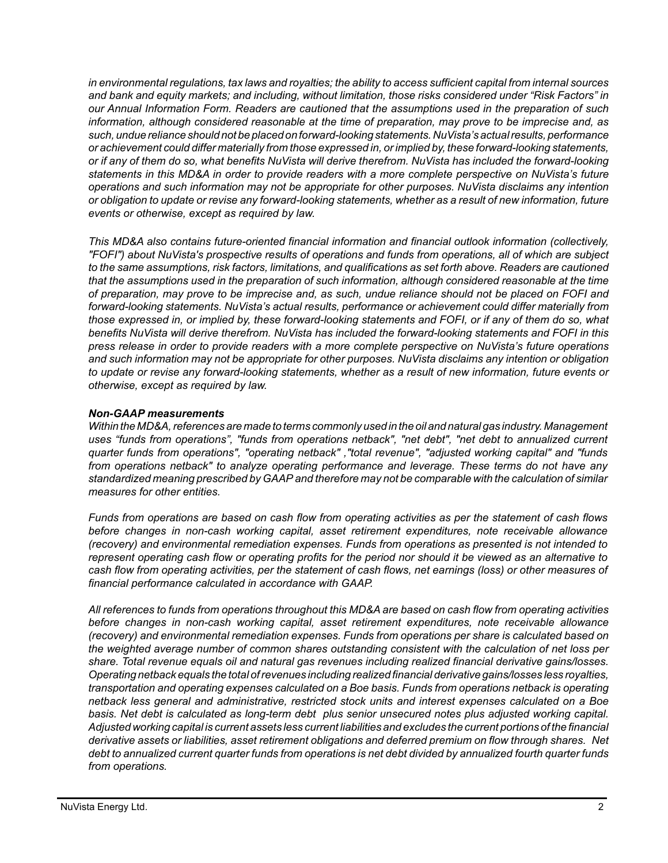*in environmental regulations, tax laws and royalties; the ability to access sufficient capital from internal sources and bank and equity markets; and including, without limitation, those risks considered under "Risk Factors" in our Annual Information Form. Readers are cautioned that the assumptions used in the preparation of such information, although considered reasonable at the time of preparation, may prove to be imprecise and, as such, undue reliance should not be placed on forward-looking statements. NuVista's actual results, performance or achievement could differ materially from those expressed in, or implied by, these forward-looking statements, or if any of them do so, what benefits NuVista will derive therefrom. NuVista has included the forward-looking statements in this MD&A in order to provide readers with a more complete perspective on NuVista's future operations and such information may not be appropriate for other purposes. NuVista disclaims any intention or obligation to update or revise any forward-looking statements, whether as a result of new information, future events or otherwise, except as required by law.*

*This MD&A also contains future-oriented financial information and financial outlook information (collectively, "FOFI") about NuVista's prospective results of operations and funds from operations, all of which are subject to the same assumptions, risk factors, limitations, and qualifications as set forth above. Readers are cautioned that the assumptions used in the preparation of such information, although considered reasonable at the time of preparation, may prove to be imprecise and, as such, undue reliance should not be placed on FOFI and forward-looking statements. NuVista's actual results, performance or achievement could differ materially from those expressed in, or implied by, these forward-looking statements and FOFI, or if any of them do so, what benefits NuVista will derive therefrom. NuVista has included the forward-looking statements and FOFI in this press release in order to provide readers with a more complete perspective on NuVista's future operations and such information may not be appropriate for other purposes. NuVista disclaims any intention or obligation to update or revise any forward-looking statements, whether as a result of new information, future events or otherwise, except as required by law.*

# *Non-GAAP measurements*

*Within the MD&A, references are made to terms commonly used in the oil and natural gas industry. Management uses "funds from operations", "funds from operations netback", "net debt", "net debt to annualized current quarter funds from operations", "operating netback" ,"total revenue", "adjusted working capital" and "funds from operations netback" to analyze operating performance and leverage. These terms do not have any standardized meaning prescribed by GAAP and therefore may not be comparable with the calculation of similar measures for other entities.* 

*Funds from operations are based on cash flow from operating activities as per the statement of cash flows before changes in non-cash working capital, asset retirement expenditures, note receivable allowance (recovery) and environmental remediation expenses. Funds from operations as presented is not intended to represent operating cash flow or operating profits for the period nor should it be viewed as an alternative to cash flow from operating activities, per the statement of cash flows, net earnings (loss) or other measures of financial performance calculated in accordance with GAAP.*

*All references to funds from operations throughout this MD&A are based on cash flow from operating activities before changes in non-cash working capital, asset retirement expenditures, note receivable allowance (recovery) and environmental remediation expenses. Funds from operations per share is calculated based on the weighted average number of common shares outstanding consistent with the calculation of net loss per share. Total revenue equals oil and natural gas revenues including realized financial derivative gains/losses. Operating netback equals the total of revenues including realized financial derivative gains/losses less royalties, transportation and operating expenses calculated on a Boe basis. Funds from operations netback is operating netback less general and administrative, restricted stock units and interest expenses calculated on a Boe basis. Net debt is calculated as long-term debt plus senior unsecured notes plus adjusted working capital. Adjusted working capital is current assets less current liabilities and excludes the current portions of the financial derivative assets or liabilities, asset retirement obligations and deferred premium on flow through shares. Net debt to annualized current quarter funds from operations is net debt divided by annualized fourth quarter funds from operations.*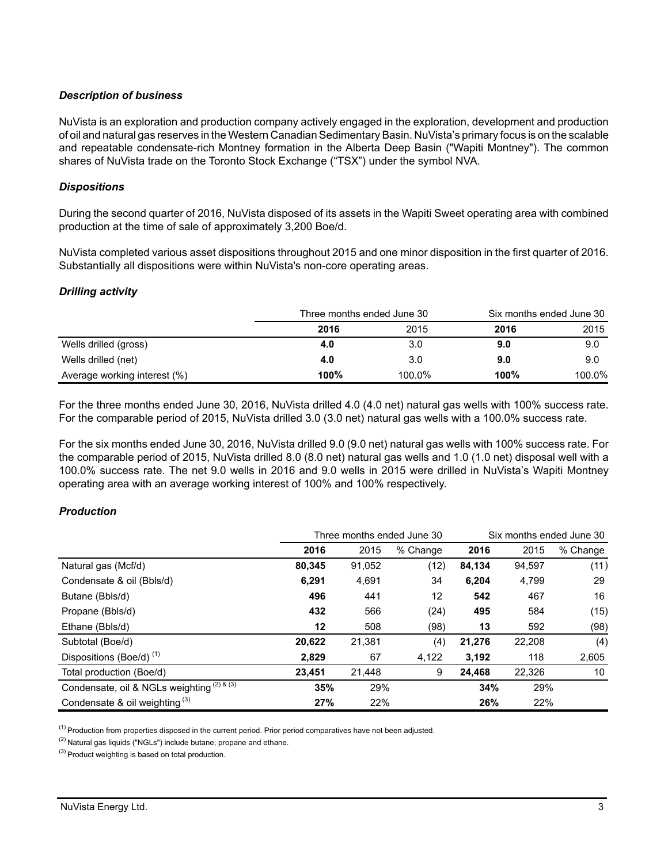# *Description of business*

NuVista is an exploration and production company actively engaged in the exploration, development and production of oil and natural gas reserves in the Western Canadian Sedimentary Basin. NuVista's primary focus is on the scalable and repeatable condensate-rich Montney formation in the Alberta Deep Basin ("Wapiti Montney"). The common shares of NuVista trade on the Toronto Stock Exchange ("TSX") under the symbol NVA.

# *Dispositions*

During the second quarter of 2016, NuVista disposed of its assets in the Wapiti Sweet operating area with combined production at the time of sale of approximately 3,200 Boe/d.

NuVista completed various asset dispositions throughout 2015 and one minor disposition in the first quarter of 2016. Substantially all dispositions were within NuVista's non-core operating areas.

#### *Drilling activity*

|                              | Three months ended June 30 | Six months ended June 30 |      |        |
|------------------------------|----------------------------|--------------------------|------|--------|
|                              | 2016                       | 2015                     | 2016 | 2015   |
| Wells drilled (gross)        | 4.0                        | 3.0                      | 9.0  | 9.0    |
| Wells drilled (net)          | 4.0                        | 3.0                      | 9.0  | 9.0    |
| Average working interest (%) | 100%                       | 100.0%                   | 100% | 100.0% |

For the three months ended June 30, 2016, NuVista drilled 4.0 (4.0 net) natural gas wells with 100% success rate. For the comparable period of 2015, NuVista drilled 3.0 (3.0 net) natural gas wells with a 100.0% success rate.

For the six months ended June 30, 2016, NuVista drilled 9.0 (9.0 net) natural gas wells with 100% success rate. For the comparable period of 2015, NuVista drilled 8.0 (8.0 net) natural gas wells and 1.0 (1.0 net) disposal well with a 100.0% success rate. The net 9.0 wells in 2016 and 9.0 wells in 2015 were drilled in NuVista's Wapiti Montney operating area with an average working interest of 100% and 100% respectively.

# *Production*

|                                            | Three months ended June 30 |        |          |        | Six months ended June 30 |          |  |
|--------------------------------------------|----------------------------|--------|----------|--------|--------------------------|----------|--|
|                                            | 2016                       | 2015   | % Change | 2016   | 2015                     | % Change |  |
| Natural gas (Mcf/d)                        | 80,345                     | 91,052 | (12)     | 84,134 | 94,597                   | (11)     |  |
| Condensate & oil (Bbls/d)                  | 6,291                      | 4,691  | 34       | 6,204  | 4,799                    | 29       |  |
| Butane (Bbls/d)                            | 496                        | 441    | 12       | 542    | 467                      | 16       |  |
| Propane (Bbls/d)                           | 432                        | 566    | (24)     | 495    | 584                      | (15)     |  |
| Ethane (Bbls/d)                            | 12                         | 508    | (98)     | 13     | 592                      | (98)     |  |
| Subtotal (Boe/d)                           | 20,622                     | 21,381 | (4)      | 21,276 | 22,208                   | (4)      |  |
| Dispositions (Boe/d) <sup>(1)</sup>        | 2.829                      | 67     | 4,122    | 3,192  | 118                      | 2,605    |  |
| Total production (Boe/d)                   | 23.451                     | 21,448 | 9        | 24.468 | 22,326                   | 10       |  |
| Condensate, oil & NGLs weighting (2) & (3) | 35%                        | 29%    |          | 34%    | 29%                      |          |  |
| Condensate & oil weighting $(3)$           | 27%                        | 22%    |          | 26%    | 22%                      |          |  |

 $<sup>(1)</sup>$  Production from properties disposed in the current period. Prior period comparatives have not been adjusted.</sup>

 $(2)$  Natural gas liquids ("NGLs") include butane, propane and ethane.

(3) Product weighting is based on total production.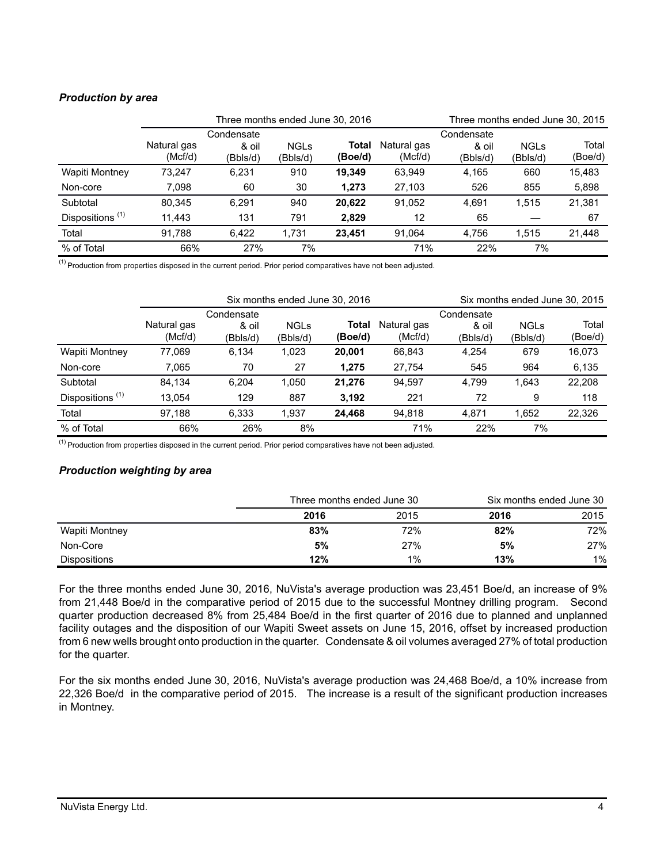# *Production by area*

|                             | Three months ended June 30, 2016 |                                 |                         |                  |                        | Three months ended June 30, 2015 |                         |                  |
|-----------------------------|----------------------------------|---------------------------------|-------------------------|------------------|------------------------|----------------------------------|-------------------------|------------------|
|                             | Natural gas<br>(Mcf/d)           | Condensate<br>& oil<br>(Bbls/d) | <b>NGLs</b><br>(Bbls/d) | Total<br>(Boe/d) | Natural gas<br>(Mcf/d) | Condensate<br>& oil<br>(Bbls/d)  | <b>NGLs</b><br>(Bbls/d) | Total<br>(Boe/d) |
| Wapiti Montney              | 73.247                           | 6,231                           | 910                     | 19.349           | 63.949                 | 4,165                            | 660                     | 15,483           |
| Non-core                    | 7.098                            | 60                              | 30                      | 1.273            | 27,103                 | 526                              | 855                     | 5,898            |
| Subtotal                    | 80,345                           | 6.291                           | 940                     | 20,622           | 91.052                 | 4.691                            | 1.515                   | 21,381           |
| Dispositions <sup>(1)</sup> | 11.443                           | 131                             | 791                     | 2.829            | 12                     | 65                               |                         | 67               |
| Total                       | 91.788                           | 6.422                           | 1.731                   | 23.451           | 91.064                 | 4.756                            | 1.515                   | 21,448           |
| % of Total                  | 66%                              | 27%                             | 7%                      |                  | 71%                    | 22%                              | 7%                      |                  |

 $(1)$  Production from properties disposed in the current period. Prior period comparatives have not been adjusted.

|                             | Six months ended June 30, 2016 |            |             |         |             |            | Six months ended June 30, 2015 |         |
|-----------------------------|--------------------------------|------------|-------------|---------|-------------|------------|--------------------------------|---------|
|                             |                                | Condensate |             |         |             | Condensate |                                |         |
|                             | Natural gas                    | & oil      | <b>NGLs</b> | Total   | Natural gas | & oil      | <b>NGLs</b>                    | Total   |
|                             | (Mcf/d)                        | (Bbls/d)   | (Bbls/d)    | (Boe/d) | (Mcf/d)     | (Bbls/d)   | (Bbls/d)                       | (Boe/d) |
| Wapiti Montney              | 77.069                         | 6,134      | 1,023       | 20.001  | 66.843      | 4.254      | 679                            | 16.073  |
| Non-core                    | 7.065                          | 70         | 27          | 1,275   | 27.754      | 545        | 964                            | 6,135   |
| Subtotal                    | 84.134                         | 6.204      | 1.050       | 21.276  | 94.597      | 4.799      | 1.643                          | 22,208  |
| Dispositions <sup>(1)</sup> | 13.054                         | 129        | 887         | 3,192   | 221         | 72         | 9                              | 118     |
| Total                       | 97.188                         | 6.333      | 1.937       | 24.468  | 94.818      | 4.871      | 1.652                          | 22,326  |
| % of Total                  | 66%                            | 26%        | 8%          |         | 71%         | 22%        | 7%                             |         |

 $(1)$  Production from properties disposed in the current period. Prior period comparatives have not been adjusted.

# *Production weighting by area*

|                     |      | Three months ended June 30 |      | Six months ended June 30 |  |  |
|---------------------|------|----------------------------|------|--------------------------|--|--|
|                     | 2016 | 2015                       | 2016 | 2015                     |  |  |
| Wapiti Montney      | 83%  | 72%                        | 82%  | 72%                      |  |  |
| Non-Core            | 5%   | 27%                        | 5%   | 27%                      |  |  |
| <b>Dispositions</b> | 12%  | $1\%$                      | 13%  | $1\%$                    |  |  |

For the three months ended June 30, 2016, NuVista's average production was 23,451 Boe/d, an increase of 9% from 21,448 Boe/d in the comparative period of 2015 due to the successful Montney drilling program. Second quarter production decreased 8% from 25,484 Boe/d in the first quarter of 2016 due to planned and unplanned facility outages and the disposition of our Wapiti Sweet assets on June 15, 2016, offset by increased production from 6 new wells brought onto production in the quarter. Condensate & oil volumes averaged 27% of total production for the quarter.

For the six months ended June 30, 2016, NuVista's average production was 24,468 Boe/d, a 10% increase from 22,326 Boe/d in the comparative period of 2015. The increase is a result of the significant production increases in Montney.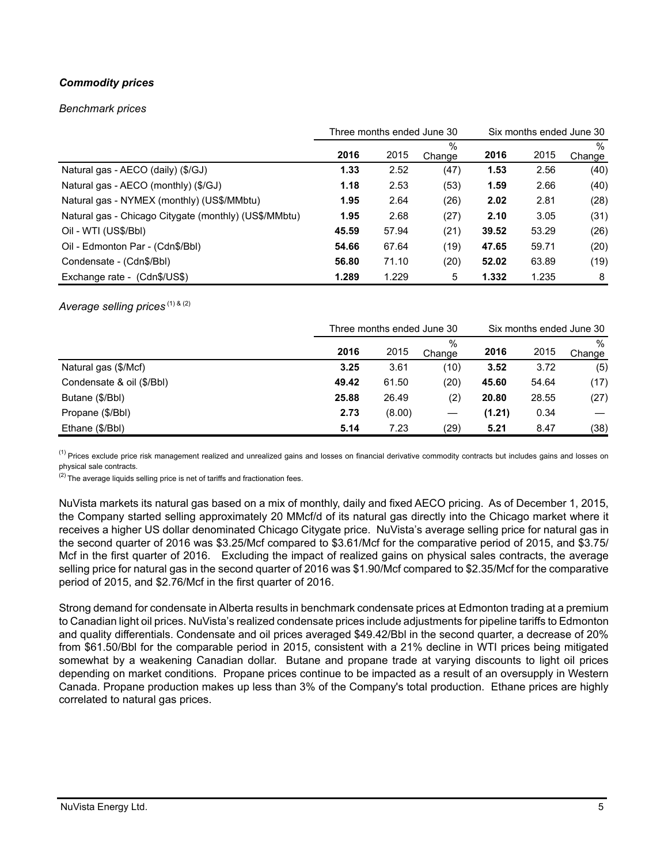# *Commodity prices*

#### *Benchmark prices*

|                                                       | Three months ended June 30 |       |                | Six months ended June 30 |       |                |
|-------------------------------------------------------|----------------------------|-------|----------------|--------------------------|-------|----------------|
|                                                       | 2016                       | 2015  | $\%$<br>Change | 2016                     | 2015  | $\%$<br>Change |
| Natural gas - AECO (daily) (\$/GJ)                    | 1.33                       | 2.52  | (47)           | 1.53                     | 2.56  | (40)           |
| Natural gas - AECO (monthly) (\$/GJ)                  | 1.18                       | 2.53  | (53)           | 1.59                     | 2.66  | (40)           |
| Natural gas - NYMEX (monthly) (US\$/MMbtu)            | 1.95                       | 2.64  | (26)           | 2.02                     | 2.81  | (28)           |
| Natural gas - Chicago Citygate (monthly) (US\$/MMbtu) | 1.95                       | 2.68  | (27)           | 2.10                     | 3.05  | (31)           |
| Oil - WTI (US\$/BbI)                                  | 45.59                      | 57.94 | (21)           | 39.52                    | 53.29 | (26)           |
| Oil - Edmonton Par - (Cdn\$/Bbl)                      | 54.66                      | 67.64 | (19)           | 47.65                    | 59.71 | (20)           |
| Condensate - (Cdn\$/Bbl)                              | 56.80                      | 71.10 | (20)           | 52.02                    | 63.89 | (19)           |
| Exchange rate - (Cdn\$/US\$)                          | 1.289                      | 1.229 | 5              | 1.332                    | 1.235 | 8              |

### *Average selling prices*<sup>(1) & (2)</sup>

|                           | Three months ended June 30 |        |             | Six months ended June 30 |       |                |
|---------------------------|----------------------------|--------|-------------|--------------------------|-------|----------------|
|                           | 2016                       | 2015   | %<br>Change | 2016                     | 2015  | $\%$<br>Change |
| Natural gas (\$/Mcf)      | 3.25                       | 3.61   | (10)        | 3.52                     | 3.72  | (5)            |
| Condensate & oil (\$/Bbl) | 49.42                      | 61.50  | (20)        | 45.60                    | 54.64 | (17)           |
| Butane (\$/Bbl)           | 25.88                      | 26.49  | (2)         | 20.80                    | 28.55 | (27)           |
| Propane (\$/Bbl)          | 2.73                       | (8.00) |             | (1.21)                   | 0.34  |                |
| Ethane (\$/Bbl)           | 5.14                       | 7.23   | (29)        | 5.21                     | 8.47  | (38)           |

<sup>(1)</sup> Prices exclude price risk management realized and unrealized gains and losses on financial derivative commodity contracts but includes gains and losses on physical sale contracts.

 $(2)$  The average liquids selling price is net of tariffs and fractionation fees.

NuVista markets its natural gas based on a mix of monthly, daily and fixed AECO pricing. As of December 1, 2015, the Company started selling approximately 20 MMcf/d of its natural gas directly into the Chicago market where it receives a higher US dollar denominated Chicago Citygate price. NuVista's average selling price for natural gas in the second quarter of 2016 was \$3.25/Mcf compared to \$3.61/Mcf for the comparative period of 2015, and \$3.75/ Mcf in the first quarter of 2016. Excluding the impact of realized gains on physical sales contracts, the average selling price for natural gas in the second quarter of 2016 was \$1.90/Mcf compared to \$2.35/Mcf for the comparative period of 2015, and \$2.76/Mcf in the first quarter of 2016.

Strong demand for condensate in Alberta results in benchmark condensate prices at Edmonton trading at a premium to Canadian light oil prices. NuVista's realized condensate prices include adjustments for pipeline tariffs to Edmonton and quality differentials. Condensate and oil prices averaged \$49.42/Bbl in the second quarter, a decrease of 20% from \$61.50/Bbl for the comparable period in 2015, consistent with a 21% decline in WTI prices being mitigated somewhat by a weakening Canadian dollar. Butane and propane trade at varying discounts to light oil prices depending on market conditions. Propane prices continue to be impacted as a result of an oversupply in Western Canada. Propane production makes up less than 3% of the Company's total production. Ethane prices are highly correlated to natural gas prices.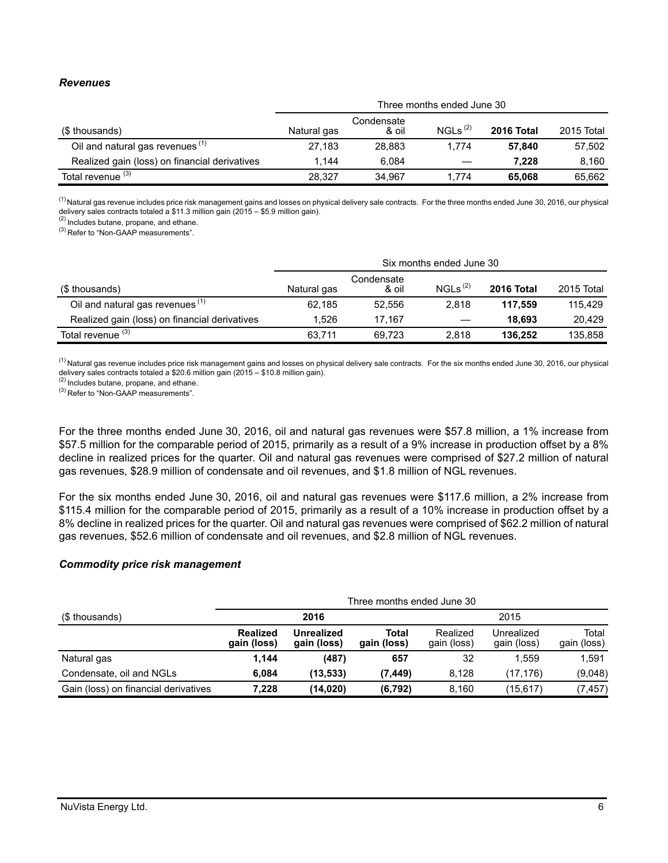### *Revenues*

|                                               | Three months ended June 30 |                     |                     |            |            |  |  |
|-----------------------------------------------|----------------------------|---------------------|---------------------|------------|------------|--|--|
| (\$ thousands)                                | Natural gas                | Condensate<br>& oil | NGLs <sup>(2)</sup> | 2016 Total | 2015 Total |  |  |
| Oil and natural gas revenues <sup>(1)</sup>   | 27.183                     | 28.883              | 1.774               | 57.840     | 57,502     |  |  |
| Realized gain (loss) on financial derivatives | 1.144                      | 6.084               |                     | 7.228      | 8.160      |  |  |
| Total revenue <sup>(3)</sup>                  | 28.327                     | 34.967              | 1.774               | 65.068     | 65.662     |  |  |

<sup>(1)</sup> Natural gas revenue includes price risk management gains and losses on physical delivery sale contracts. For the three months ended June 30, 2016, our physical

delivery sales contracts totaled a \$11.3 million gain (2015 – \$5.9 million gain).<br><sup>(2)</sup> Includes butane, propane, and ethane.

(3) Refer to "Non-GAAP measurements".

|                                               | Six months ended June 30 |                     |                     |            |            |  |  |
|-----------------------------------------------|--------------------------|---------------------|---------------------|------------|------------|--|--|
| (\$ thousands)                                | Natural gas              | Condensate<br>& oil | NGLs <sup>(2)</sup> | 2016 Total | 2015 Total |  |  |
| Oil and natural gas revenues <sup>(1)</sup>   | 62.185                   | 52.556              | 2.818               | 117.559    | 115.429    |  |  |
| Realized gain (loss) on financial derivatives | 1.526                    | 17.167              |                     | 18.693     | 20.429     |  |  |
| Total revenue <sup>(3)</sup>                  | 63,711                   | 69.723              | 2.818               | 136.252    | 135.858    |  |  |

<sup>(1)</sup> Natural gas revenue includes price risk management gains and losses on physical delivery sale contracts. For the six months ended June 30, 2016, our physical delivery sales contracts totaled a \$20.6 million gain (2015 – \$10.8 million gain).

(2) Includes butane, propane, and ethane.

<sup>(3)</sup> Refer to "Non-GAAP measurements".

For the three months ended June 30, 2016, oil and natural gas revenues were \$57.8 million, a 1% increase from \$57.5 million for the comparable period of 2015, primarily as a result of a 9% increase in production offset by a 8% decline in realized prices for the quarter. Oil and natural gas revenues were comprised of \$27.2 million of natural gas revenues, \$28.9 million of condensate and oil revenues, and \$1.8 million of NGL revenues.

For the six months ended June 30, 2016, oil and natural gas revenues were \$117.6 million, a 2% increase from \$115.4 million for the comparable period of 2015, primarily as a result of a 10% increase in production offset by a 8% decline in realized prices for the quarter. Oil and natural gas revenues were comprised of \$62.2 million of natural gas revenues, \$52.6 million of condensate and oil revenues, and \$2.8 million of NGL revenues.

#### *Commodity price risk management*

|                                      | Three months ended June 30 |                           |                      |                         |                           |                      |
|--------------------------------------|----------------------------|---------------------------|----------------------|-------------------------|---------------------------|----------------------|
| (\$ thousands)                       |                            | 2016                      | 2015                 |                         |                           |                      |
|                                      | Realized<br>gain (loss)    | Unrealized<br>gain (loss) | Total<br>gain (loss) | Realized<br>gain (loss) | Unrealized<br>gain (loss) | Total<br>gain (loss) |
| Natural gas                          | 1,144                      | (487)                     | 657                  | 32                      | 1.559                     | 1,591                |
| Condensate, oil and NGLs             | 6.084                      | (13,533)                  | (7, 449)             | 8.128                   | (17.176)                  | (9,048)              |
| Gain (loss) on financial derivatives | 7,228                      | (14,020)                  | (6, 792)             | 8,160                   | (15, 617)                 | (7,457)              |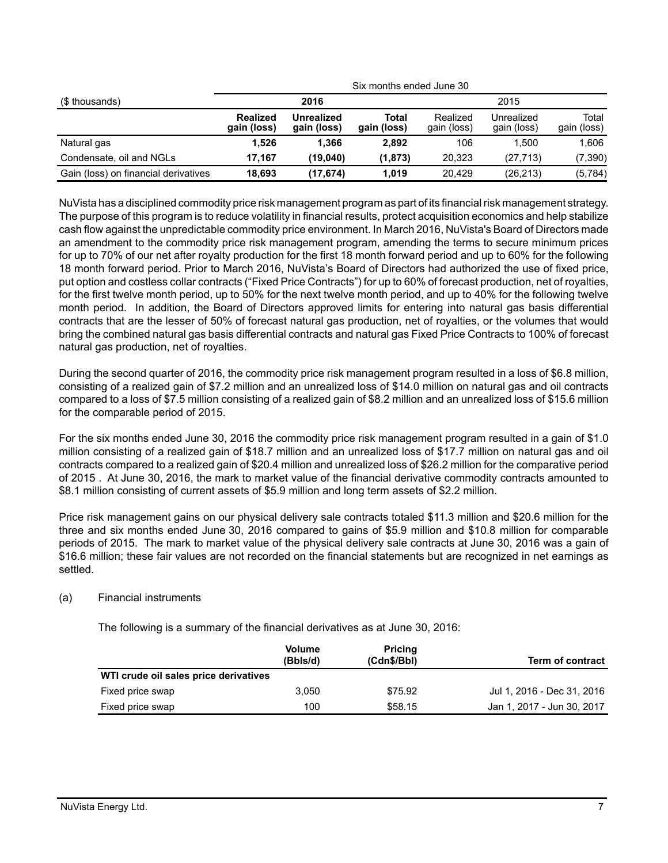| (\$ thousands)                       |                                |                           |                      | Six months ended June 30 |                           |                      |  |  |
|--------------------------------------|--------------------------------|---------------------------|----------------------|--------------------------|---------------------------|----------------------|--|--|
|                                      |                                | 2016                      |                      |                          | 2015                      |                      |  |  |
|                                      | <b>Realized</b><br>gain (loss) | Unrealized<br>gain (loss) | Total<br>gain (loss) | Realized<br>gain (loss)  | Unrealized<br>gain (loss) | Total<br>gain (loss) |  |  |
| Natural gas                          | 1.526                          | 1.366                     | 2.892                | 106                      | 1.500                     | 1.606                |  |  |
| Condensate, oil and NGLs             | 17.167                         | (19.040)                  | (1, 873)             | 20.323                   | (27, 713)                 | (7, 390)             |  |  |
| Gain (loss) on financial derivatives | 18.693                         | (17, 674)                 | 1.019                | 20.429                   | (26, 213)                 | (5,784)              |  |  |

NuVista has a disciplined commodity price risk management program as part of its financial risk management strategy. The purpose of this program is to reduce volatility in financial results, protect acquisition economics and help stabilize cash flow against the unpredictable commodity price environment. In March 2016, NuVista's Board of Directors made an amendment to the commodity price risk management program, amending the terms to secure minimum prices for up to 70% of our net after royalty production for the first 18 month forward period and up to 60% for the following 18 month forward period. Prior to March 2016, NuVista's Board of Directors had authorized the use of fixed price, put option and costless collar contracts ("Fixed Price Contracts") for up to 60% of forecast production, net of royalties, for the first twelve month period, up to 50% for the next twelve month period, and up to 40% for the following twelve month period. In addition, the Board of Directors approved limits for entering into natural gas basis differential contracts that are the lesser of 50% of forecast natural gas production, net of royalties, or the volumes that would bring the combined natural gas basis differential contracts and natural gas Fixed Price Contracts to 100% of forecast natural gas production, net of royalties.

During the second quarter of 2016, the commodity price risk management program resulted in a loss of \$6.8 million, consisting of a realized gain of \$7.2 million and an unrealized loss of \$14.0 million on natural gas and oil contracts compared to a loss of \$7.5 million consisting of a realized gain of \$8.2 million and an unrealized loss of \$15.6 million for the comparable period of 2015.

For the six months ended June 30, 2016 the commodity price risk management program resulted in a gain of \$1.0 million consisting of a realized gain of \$18.7 million and an unrealized loss of \$17.7 million on natural gas and oil contracts compared to a realized gain of \$20.4 million and unrealized loss of \$26.2 million for the comparative period of 2015 . At June 30, 2016, the mark to market value of the financial derivative commodity contracts amounted to \$8.1 million consisting of current assets of \$5.9 million and long term assets of \$2.2 million.

Price risk management gains on our physical delivery sale contracts totaled \$11.3 million and \$20.6 million for the three and six months ended June 30, 2016 compared to gains of \$5.9 million and \$10.8 million for comparable periods of 2015. The mark to market value of the physical delivery sale contracts at June 30, 2016 was a gain of \$16.6 million; these fair values are not recorded on the financial statements but are recognized in net earnings as settled.

# (a) Financial instruments

The following is a summary of the financial derivatives as at June 30, 2016:

|                                       | <b>Volume</b><br>(Bbls/d) | <b>Pricing</b><br>(Cdn\$/Bbl) | <b>Term of contract</b>    |
|---------------------------------------|---------------------------|-------------------------------|----------------------------|
| WTI crude oil sales price derivatives |                           |                               |                            |
| Fixed price swap                      | 3.050                     | \$75.92                       | Jul 1, 2016 - Dec 31, 2016 |
| Fixed price swap                      | 100                       | \$58.15                       | Jan 1, 2017 - Jun 30, 2017 |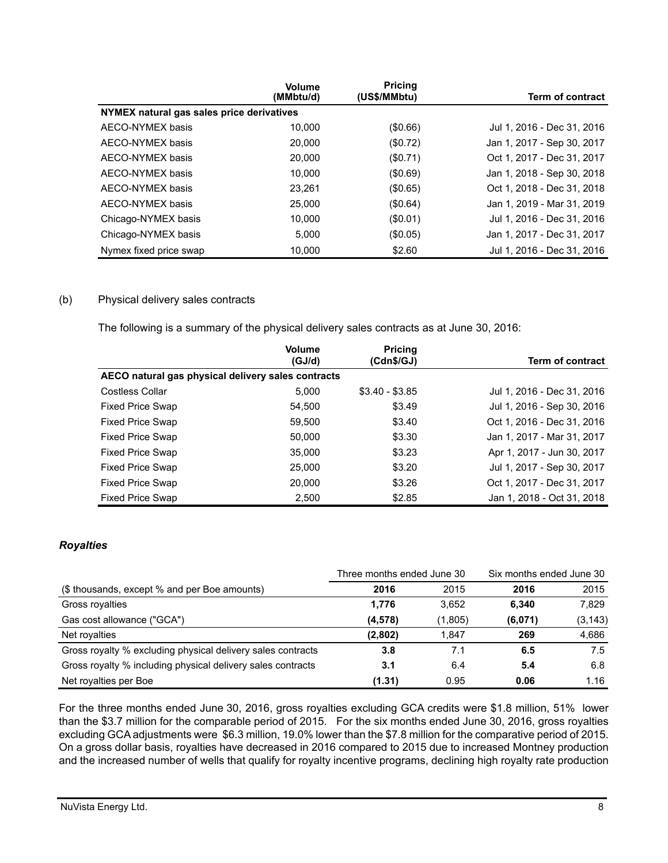|                                           | <b>Volume</b><br>(MMbtu/d) | <b>Pricing</b><br>(US\$/MMbtu) | <b>Term of contract</b>    |
|-------------------------------------------|----------------------------|--------------------------------|----------------------------|
| NYMEX natural gas sales price derivatives |                            |                                |                            |
| AECO-NYMEX basis                          | 10.000                     | (\$0.66)                       | Jul 1, 2016 - Dec 31, 2016 |
| AECO-NYMEX basis                          | 20,000                     | (\$0.72)                       | Jan 1, 2017 - Sep 30, 2017 |
| AECO-NYMEX basis                          | 20,000                     | (\$0.71)                       | Oct 1, 2017 - Dec 31, 2017 |
| AECO-NYMEX basis                          | 10.000                     | (\$0.69)                       | Jan 1, 2018 - Sep 30, 2018 |
| AECO-NYMEX basis                          | 23.261                     | (\$0.65)                       | Oct 1, 2018 - Dec 31, 2018 |
| AECO-NYMEX basis                          | 25,000                     | (\$0.64)                       | Jan 1, 2019 - Mar 31, 2019 |
| Chicago-NYMEX basis                       | 10.000                     | (S0.01)                        | Jul 1, 2016 - Dec 31, 2016 |
| Chicago-NYMEX basis                       | 5.000                      | (S0.05)                        | Jan 1, 2017 - Dec 31, 2017 |
| Nymex fixed price swap                    | 10.000                     | \$2.60                         | Jul 1, 2016 - Dec 31, 2016 |

# (b) Physical delivery sales contracts

The following is a summary of the physical delivery sales contracts as at June 30, 2016:

|                                                    | <b>Volume</b><br>(GJ/d) | <b>Pricing</b><br>(Cdn\$/GJ) | Term of contract           |
|----------------------------------------------------|-------------------------|------------------------------|----------------------------|
| AECO natural gas physical delivery sales contracts |                         |                              |                            |
| <b>Costless Collar</b>                             | 5.000                   | $$3.40 - $3.85$              | Jul 1, 2016 - Dec 31, 2016 |
| <b>Fixed Price Swap</b>                            | 54.500                  | \$3.49                       | Jul 1, 2016 - Sep 30, 2016 |
| <b>Fixed Price Swap</b>                            | 59,500                  | \$3.40                       | Oct 1, 2016 - Dec 31, 2016 |
| <b>Fixed Price Swap</b>                            | 50.000                  | \$3.30                       | Jan 1, 2017 - Mar 31, 2017 |
| <b>Fixed Price Swap</b>                            | 35,000                  | \$3.23                       | Apr 1, 2017 - Jun 30, 2017 |
| <b>Fixed Price Swap</b>                            | 25,000                  | \$3.20                       | Jul 1, 2017 - Sep 30, 2017 |
| <b>Fixed Price Swap</b>                            | 20,000                  | \$3.26                       | Oct 1, 2017 - Dec 31, 2017 |
| <b>Fixed Price Swap</b>                            | 2,500                   | \$2.85                       | Jan 1, 2018 - Oct 31, 2018 |

# *Royalties*

|                                                             | Three months ended June 30 |         | Six months ended June 30 |          |
|-------------------------------------------------------------|----------------------------|---------|--------------------------|----------|
| (\$ thousands, except % and per Boe amounts)                | 2016                       | 2015    | 2016                     | 2015     |
| Gross royalties                                             | 1,776                      | 3.652   | 6.340                    | 7.829    |
| Gas cost allowance ("GCA")                                  | (4, 578)                   | (1,805) | (6,071)                  | (3, 143) |
| Net royalties                                               | (2,802)                    | 1.847   | 269                      | 4,686    |
| Gross royalty % excluding physical delivery sales contracts | 3.8                        | 7.1     | 6.5                      | 7.5      |
| Gross royalty % including physical delivery sales contracts | 3.1                        | 6.4     | 5.4                      | 6.8      |
| Net royalties per Boe                                       | (1.31)                     | 0.95    | 0.06                     | 1.16     |

For the three months ended June 30, 2016, gross royalties excluding GCA credits were \$1.8 million, 51% lower than the \$3.7 million for the comparable period of 2015. For the six months ended June 30, 2016, gross royalties excluding GCA adjustments were \$6.3 million, 19.0% lower than the \$7.8 million for the comparative period of 2015. On a gross dollar basis, royalties have decreased in 2016 compared to 2015 due to increased Montney production and the increased number of wells that qualify for royalty incentive programs, declining high royalty rate production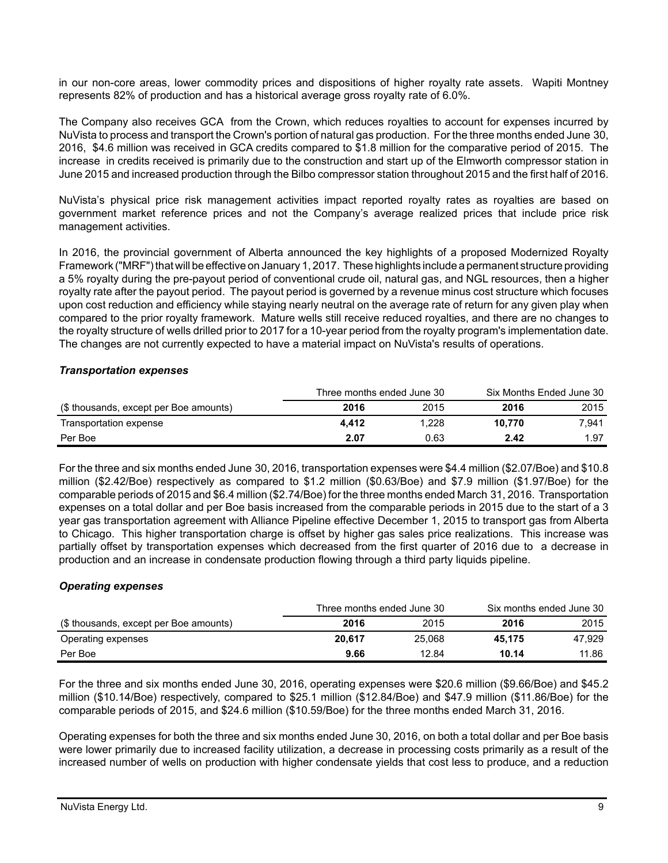in our non-core areas, lower commodity prices and dispositions of higher royalty rate assets. Wapiti Montney represents 82% of production and has a historical average gross royalty rate of 6.0%.

The Company also receives GCA from the Crown, which reduces royalties to account for expenses incurred by NuVista to process and transport the Crown's portion of natural gas production. For the three months ended June 30, 2016, \$4.6 million was received in GCA credits compared to \$1.8 million for the comparative period of 2015. The increase in credits received is primarily due to the construction and start up of the Elmworth compressor station in June 2015 and increased production through the Bilbo compressor station throughout 2015 and the first half of 2016.

NuVista's physical price risk management activities impact reported royalty rates as royalties are based on government market reference prices and not the Company's average realized prices that include price risk management activities.

In 2016, the provincial government of Alberta announced the key highlights of a proposed Modernized Royalty Framework ("MRF") that will be effective on January 1, 2017. These highlights include a permanent structure providing a 5% royalty during the pre-payout period of conventional crude oil, natural gas, and NGL resources, then a higher royalty rate after the payout period. The payout period is governed by a revenue minus cost structure which focuses upon cost reduction and efficiency while staying nearly neutral on the average rate of return for any given play when compared to the prior royalty framework. Mature wells still receive reduced royalties, and there are no changes to the royalty structure of wells drilled prior to 2017 for a 10-year period from the royalty program's implementation date. The changes are not currently expected to have a material impact on NuVista's results of operations.

#### *Transportation expenses*

|                                        | Three months ended June 30 |       | Six Months Ended June 30 |       |
|----------------------------------------|----------------------------|-------|--------------------------|-------|
| (\$ thousands, except per Boe amounts) | 2016                       | 2015  | 2016                     | 2015  |
| Transportation expense                 | 4.412                      | 1.228 | 10.770                   | 7.941 |
| Per Boe                                | 2.07                       | 0.63  | 2.42                     | 1.97  |

For the three and six months ended June 30, 2016, transportation expenses were \$4.4 million (\$2.07/Boe) and \$10.8 million (\$2.42/Boe) respectively as compared to \$1.2 million (\$0.63/Boe) and \$7.9 million (\$1.97/Boe) for the comparable periods of 2015 and \$6.4 million (\$2.74/Boe) for the three months ended March 31, 2016. Transportation expenses on a total dollar and per Boe basis increased from the comparable periods in 2015 due to the start of a 3 year gas transportation agreement with Alliance Pipeline effective December 1, 2015 to transport gas from Alberta to Chicago. This higher transportation charge is offset by higher gas sales price realizations. This increase was partially offset by transportation expenses which decreased from the first quarter of 2016 due to a decrease in production and an increase in condensate production flowing through a third party liquids pipeline.

# *Operating expenses*

|                                        | Three months ended June 30 |        |        | Six months ended June 30 |
|----------------------------------------|----------------------------|--------|--------|--------------------------|
| (\$ thousands, except per Boe amounts) | 2016                       | 2015   | 2016   | 2015                     |
| Operating expenses                     | 20.617                     | 25,068 | 45.175 | 47.929                   |
| Per Boe                                | 9.66                       | 12.84  | 10.14  | 11.86                    |

For the three and six months ended June 30, 2016, operating expenses were \$20.6 million (\$9.66/Boe) and \$45.2 million (\$10.14/Boe) respectively, compared to \$25.1 million (\$12.84/Boe) and \$47.9 million (\$11.86/Boe) for the comparable periods of 2015, and \$24.6 million (\$10.59/Boe) for the three months ended March 31, 2016.

Operating expenses for both the three and six months ended June 30, 2016, on both a total dollar and per Boe basis were lower primarily due to increased facility utilization, a decrease in processing costs primarily as a result of the increased number of wells on production with higher condensate yields that cost less to produce, and a reduction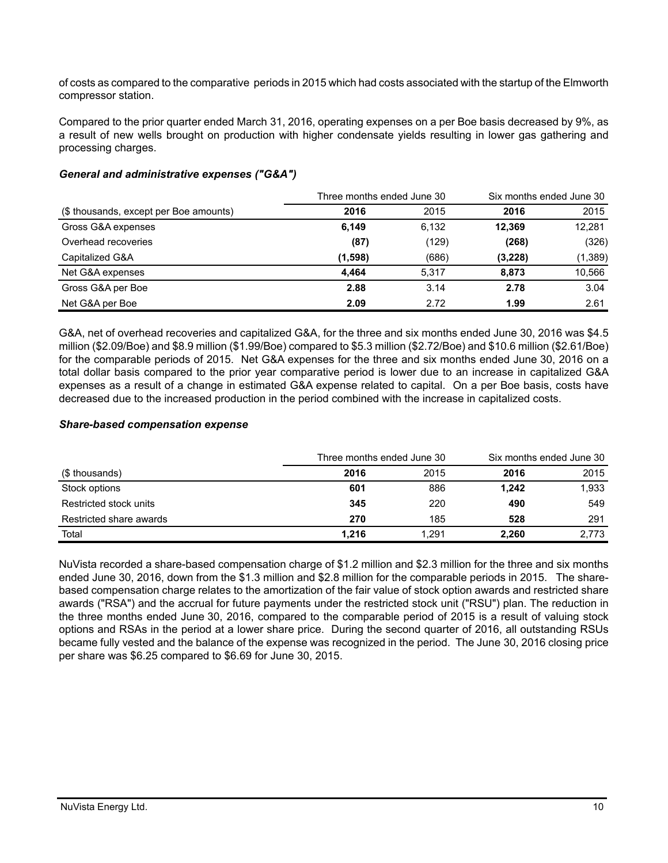of costs as compared to the comparative periods in 2015 which had costs associated with the startup of the Elmworth compressor station.

Compared to the prior quarter ended March 31, 2016, operating expenses on a per Boe basis decreased by 9%, as a result of new wells brought on production with higher condensate yields resulting in lower gas gathering and processing charges.

# *General and administrative expenses ("G&A")*

|                                        | Three months ended June 30 |       | Six months ended June 30 |          |
|----------------------------------------|----------------------------|-------|--------------------------|----------|
| (\$ thousands, except per Boe amounts) | 2016                       | 2015  | 2016                     | 2015     |
| Gross G&A expenses                     | 6,149                      | 6,132 | 12.369                   | 12,281   |
| Overhead recoveries                    | (87)                       | (129) | (268)                    | (326)    |
| Capitalized G&A                        | (1,598)                    | (686) | (3,228)                  | (1, 389) |
| Net G&A expenses                       | 4.464                      | 5.317 | 8.873                    | 10,566   |
| Gross G&A per Boe                      | 2.88                       | 3.14  | 2.78                     | 3.04     |
| Net G&A per Boe                        | 2.09                       | 2.72  | 1.99                     | 2.61     |

G&A, net of overhead recoveries and capitalized G&A, for the three and six months ended June 30, 2016 was \$4.5 million (\$2.09/Boe) and \$8.9 million (\$1.99/Boe) compared to \$5.3 million (\$2.72/Boe) and \$10.6 million (\$2.61/Boe) for the comparable periods of 2015. Net G&A expenses for the three and six months ended June 30, 2016 on a total dollar basis compared to the prior year comparative period is lower due to an increase in capitalized G&A expenses as a result of a change in estimated G&A expense related to capital. On a per Boe basis, costs have decreased due to the increased production in the period combined with the increase in capitalized costs.

# *Share-based compensation expense*

|                         | Three months ended June 30 |       | Six months ended June 30 |       |
|-------------------------|----------------------------|-------|--------------------------|-------|
| (\$ thousands)          | 2016                       | 2015  | 2016                     | 2015  |
| Stock options           | 601                        | 886   | 1.242                    | 1,933 |
| Restricted stock units  | 345                        | 220   | 490                      | 549   |
| Restricted share awards | 270                        | 185   | 528                      | 291   |
| Total                   | 1.216                      | 1.291 | 2,260                    | 2,773 |

NuVista recorded a share-based compensation charge of \$1.2 million and \$2.3 million for the three and six months ended June 30, 2016, down from the \$1.3 million and \$2.8 million for the comparable periods in 2015. The sharebased compensation charge relates to the amortization of the fair value of stock option awards and restricted share awards ("RSA") and the accrual for future payments under the restricted stock unit ("RSU") plan. The reduction in the three months ended June 30, 2016, compared to the comparable period of 2015 is a result of valuing stock options and RSAs in the period at a lower share price. During the second quarter of 2016, all outstanding RSUs became fully vested and the balance of the expense was recognized in the period. The June 30, 2016 closing price per share was \$6.25 compared to \$6.69 for June 30, 2015.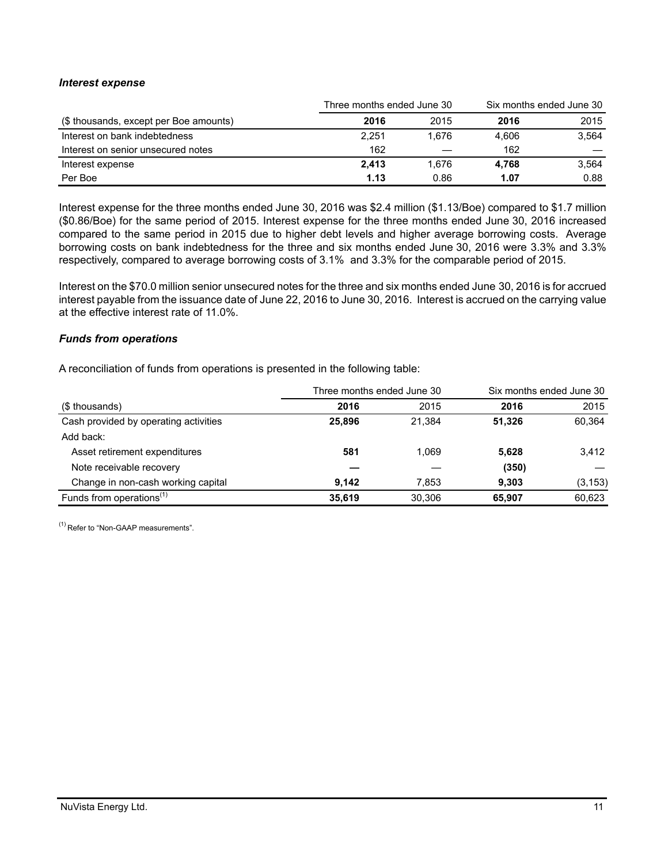### *Interest expense*

|                                        | Three months ended June 30 | Six months ended June 30 |       |       |
|----------------------------------------|----------------------------|--------------------------|-------|-------|
| (\$ thousands, except per Boe amounts) | 2016                       | 2015                     | 2016  | 2015  |
| Interest on bank indebtedness          | 2.251                      | 1.676                    | 4.606 | 3.564 |
| Interest on senior unsecured notes     | 162                        |                          | 162   |       |
| Interest expense                       | 2.413                      | 1.676                    | 4.768 | 3.564 |
| Per Boe                                | 1.13                       | 0.86                     | 1.07  | 0.88  |

Interest expense for the three months ended June 30, 2016 was \$2.4 million (\$1.13/Boe) compared to \$1.7 million (\$0.86/Boe) for the same period of 2015. Interest expense for the three months ended June 30, 2016 increased compared to the same period in 2015 due to higher debt levels and higher average borrowing costs. Average borrowing costs on bank indebtedness for the three and six months ended June 30, 2016 were 3.3% and 3.3% respectively, compared to average borrowing costs of 3.1% and 3.3% for the comparable period of 2015.

Interest on the \$70.0 million senior unsecured notes for the three and six months ended June 30, 2016 is for accrued interest payable from the issuance date of June 22, 2016 to June 30, 2016. Interest is accrued on the carrying value at the effective interest rate of 11.0%.

### *Funds from operations*

A reconciliation of funds from operations is presented in the following table:

|                                       | Three months ended June 30 |        | Six months ended June 30 |          |
|---------------------------------------|----------------------------|--------|--------------------------|----------|
| (\$ thousands)                        | 2016                       | 2015   | 2016                     | 2015     |
| Cash provided by operating activities | 25.896                     | 21.384 | 51.326                   | 60,364   |
| Add back:                             |                            |        |                          |          |
| Asset retirement expenditures         | 581                        | 1.069  | 5.628                    | 3.412    |
| Note receivable recovery              |                            |        | (350)                    |          |
| Change in non-cash working capital    | 9.142                      | 7.853  | 9.303                    | (3, 153) |
| Funds from operations <sup>(1)</sup>  | 35.619                     | 30.306 | 65.907                   | 60,623   |

(1) Refer to "Non-GAAP measurements".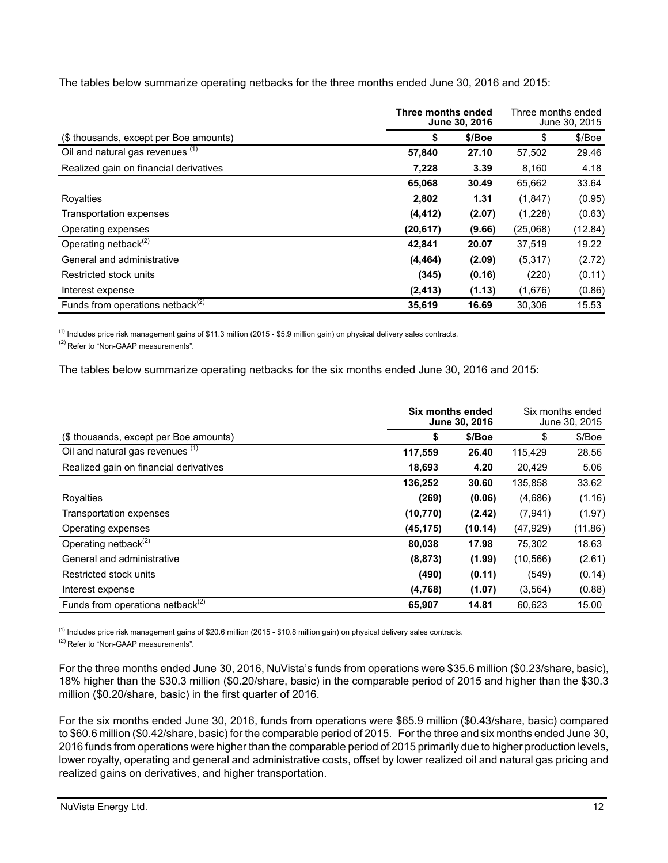The tables below summarize operating netbacks for the three months ended June 30, 2016 and 2015:

|                                              | Three months ended<br>June 30, 2016 | Three months ended<br>June 30, 2015 |          |         |
|----------------------------------------------|-------------------------------------|-------------------------------------|----------|---------|
| (\$ thousands, except per Boe amounts)       | \$                                  | \$/Boe                              | \$       | \$/Boe  |
| Oil and natural gas revenues (1)             | 57,840                              | 27.10                               | 57,502   | 29.46   |
| Realized gain on financial derivatives       | 7,228                               | 3.39                                | 8,160    | 4.18    |
|                                              | 65,068                              | 30.49                               | 65,662   | 33.64   |
| Royalties                                    | 2,802                               | 1.31                                | (1,847)  | (0.95)  |
| Transportation expenses                      | (4, 412)                            | (2.07)                              | (1,228)  | (0.63)  |
| Operating expenses                           | (20,617)                            | (9.66)                              | (25,068) | (12.84) |
| Operating netback <sup>(2)</sup>             | 42,841                              | 20.07                               | 37,519   | 19.22   |
| General and administrative                   | (4, 464)                            | (2.09)                              | (5,317)  | (2.72)  |
| Restricted stock units                       | (345)                               | (0.16)                              | (220)    | (0.11)  |
| Interest expense                             | (2, 413)                            | (1.13)                              | (1,676)  | (0.86)  |
| Funds from operations netback <sup>(2)</sup> | 35.619                              | 16.69                               | 30.306   | 15.53   |

 $<sup>(1)</sup>$  Includes price risk management gains of \$11.3 million (2015 - \$5.9 million gain) on physical delivery sales contracts.</sup>

<sup>(2)</sup> Refer to "Non-GAAP measurements".

The tables below summarize operating netbacks for the six months ended June 30, 2016 and 2015:

|                                              | Six months ended<br>June 30, 2016 |         | Six months ended<br>June 30, 2015 |         |
|----------------------------------------------|-----------------------------------|---------|-----------------------------------|---------|
| (\$ thousands, except per Boe amounts)       | \$                                | \$/Boe  | \$                                | \$/Boe  |
| Oil and natural gas revenues (1)             | 117,559                           | 26.40   | 115,429                           | 28.56   |
| Realized gain on financial derivatives       | 18,693                            | 4.20    | 20,429                            | 5.06    |
|                                              | 136,252                           | 30.60   | 135,858                           | 33.62   |
| Royalties                                    | (269)                             | (0.06)  | (4,686)                           | (1.16)  |
| Transportation expenses                      | (10, 770)                         | (2.42)  | (7,941)                           | (1.97)  |
| Operating expenses                           | (45, 175)                         | (10.14) | (47, 929)                         | (11.86) |
| Operating netback <sup>(2)</sup>             | 80,038                            | 17.98   | 75,302                            | 18.63   |
| General and administrative                   | (8, 873)                          | (1.99)  | (10, 566)                         | (2.61)  |
| Restricted stock units                       | (490)                             | (0.11)  | (549)                             | (0.14)  |
| Interest expense                             | (4,768)                           | (1.07)  | (3, 564)                          | (0.88)  |
| Funds from operations netback <sup>(2)</sup> | 65,907                            | 14.81   | 60.623                            | 15.00   |

(1) Includes price risk management gains of \$20.6 million (2015 - \$10.8 million gain) on physical delivery sales contracts.

(2) Refer to "Non-GAAP measurements".

For the three months ended June 30, 2016, NuVista's funds from operations were \$35.6 million (\$0.23/share, basic), 18% higher than the \$30.3 million (\$0.20/share, basic) in the comparable period of 2015 and higher than the \$30.3 million (\$0.20/share, basic) in the first quarter of 2016.

For the six months ended June 30, 2016, funds from operations were \$65.9 million (\$0.43/share, basic) compared to \$60.6 million (\$0.42/share, basic) for the comparable period of 2015. For the three and six months ended June 30, 2016 funds from operations were higher than the comparable period of 2015 primarily due to higher production levels, lower royalty, operating and general and administrative costs, offset by lower realized oil and natural gas pricing and realized gains on derivatives, and higher transportation.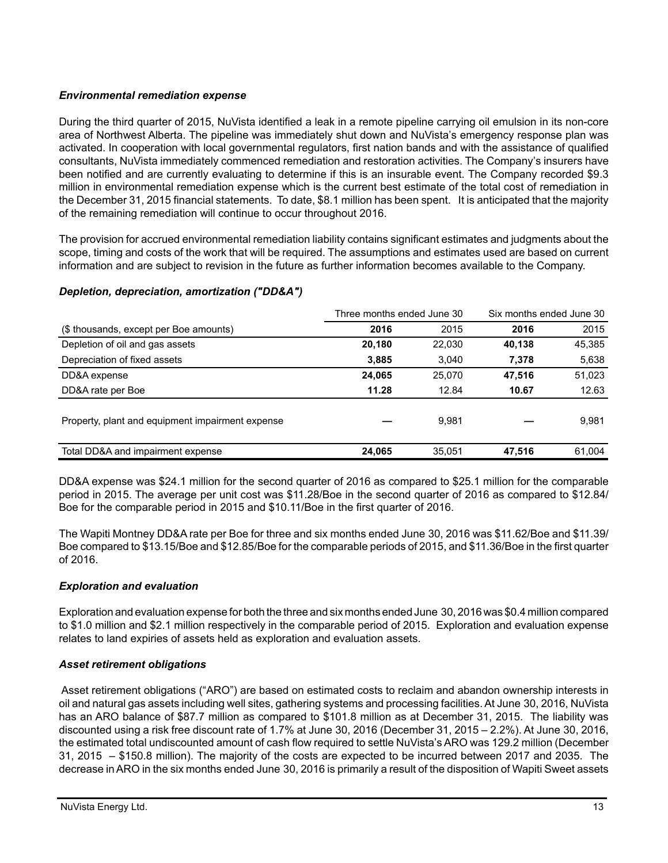# *Environmental remediation expense*

During the third quarter of 2015, NuVista identified a leak in a remote pipeline carrying oil emulsion in its non-core area of Northwest Alberta. The pipeline was immediately shut down and NuVista's emergency response plan was activated. In cooperation with local governmental regulators, first nation bands and with the assistance of qualified consultants, NuVista immediately commenced remediation and restoration activities. The Company's insurers have been notified and are currently evaluating to determine if this is an insurable event. The Company recorded \$9.3 million in environmental remediation expense which is the current best estimate of the total cost of remediation in the December 31, 2015 financial statements. To date, \$8.1 million has been spent. It is anticipated that the majority of the remaining remediation will continue to occur throughout 2016.

The provision for accrued environmental remediation liability contains significant estimates and judgments about the scope, timing and costs of the work that will be required. The assumptions and estimates used are based on current information and are subject to revision in the future as further information becomes available to the Company.

|                                                  | Three months ended June 30 |        | Six months ended June 30 |        |
|--------------------------------------------------|----------------------------|--------|--------------------------|--------|
| (\$ thousands, except per Boe amounts)           | 2016                       | 2015   | 2016                     | 2015   |
| Depletion of oil and gas assets                  | 20,180                     | 22.030 | 40,138                   | 45,385 |
| Depreciation of fixed assets                     | 3,885                      | 3,040  | 7,378                    | 5,638  |
| DD&A expense                                     | 24,065                     | 25.070 | 47,516                   | 51,023 |
| DD&A rate per Boe                                | 11.28                      | 12.84  | 10.67                    | 12.63  |
| Property, plant and equipment impairment expense |                            | 9.981  |                          | 9,981  |
| Total DD&A and impairment expense                | 24.065                     | 35.051 | 47.516                   | 61.004 |

# *Depletion, depreciation, amortization ("DD&A")*

DD&A expense was \$24.1 million for the second quarter of 2016 as compared to \$25.1 million for the comparable period in 2015. The average per unit cost was \$11.28/Boe in the second quarter of 2016 as compared to \$12.84/ Boe for the comparable period in 2015 and \$10.11/Boe in the first quarter of 2016.

The Wapiti Montney DD&A rate per Boe for three and six months ended June 30, 2016 was \$11.62/Boe and \$11.39/ Boe compared to \$13.15/Boe and \$12.85/Boe for the comparable periods of 2015, and \$11.36/Boe in the first quarter of 2016.

# *Exploration and evaluation*

Exploration and evaluation expense for both the three and six months ended June 30, 2016 was \$0.4 million compared to \$1.0 million and \$2.1 million respectively in the comparable period of 2015. Exploration and evaluation expense relates to land expiries of assets held as exploration and evaluation assets.

# *Asset retirement obligations*

 Asset retirement obligations ("ARO") are based on estimated costs to reclaim and abandon ownership interests in oil and natural gas assets including well sites, gathering systems and processing facilities. At June 30, 2016, NuVista has an ARO balance of \$87.7 million as compared to \$101.8 million as at December 31, 2015. The liability was discounted using a risk free discount rate of 1.7% at June 30, 2016 (December 31, 2015 – 2.2%). At June 30, 2016, the estimated total undiscounted amount of cash flow required to settle NuVista's ARO was 129.2 million (December 31, 2015 – \$150.8 million). The majority of the costs are expected to be incurred between 2017 and 2035. The decrease in ARO in the six months ended June 30, 2016 is primarily a result of the disposition of Wapiti Sweet assets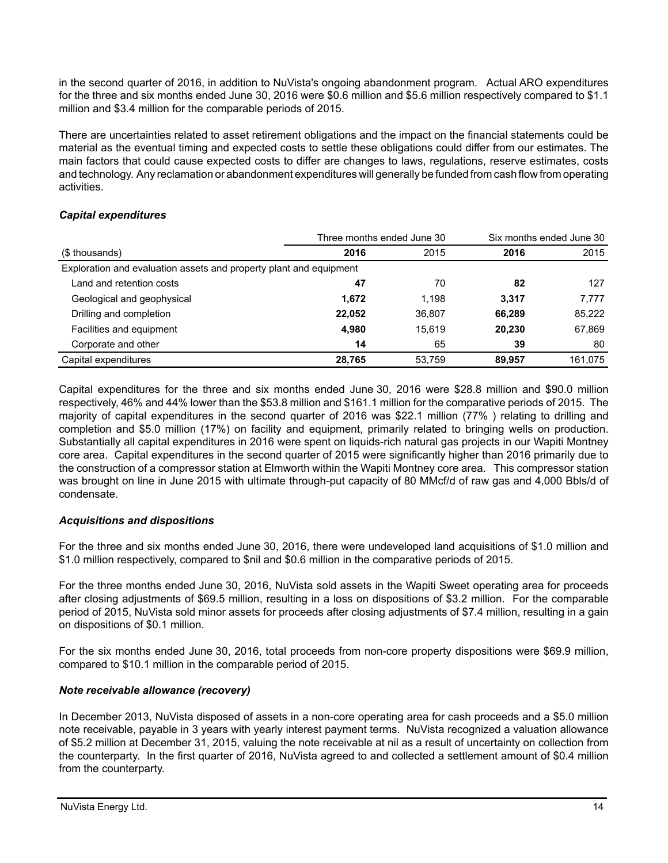in the second quarter of 2016, in addition to NuVista's ongoing abandonment program. Actual ARO expenditures for the three and six months ended June 30, 2016 were \$0.6 million and \$5.6 million respectively compared to \$1.1 million and \$3.4 million for the comparable periods of 2015.

There are uncertainties related to asset retirement obligations and the impact on the financial statements could be material as the eventual timing and expected costs to settle these obligations could differ from our estimates. The main factors that could cause expected costs to differ are changes to laws, regulations, reserve estimates, costs and technology. Any reclamation or abandonment expenditures will generally be funded from cash flow from operating activities.

# *Capital expenditures*

|                                                                    | Three months ended June 30 | Six months ended June 30 |        |         |
|--------------------------------------------------------------------|----------------------------|--------------------------|--------|---------|
| (\$ thousands)                                                     | 2016                       | 2015                     | 2016   | 2015    |
| Exploration and evaluation assets and property plant and equipment |                            |                          |        |         |
| Land and retention costs                                           | 47                         | 70                       | 82     | 127     |
| Geological and geophysical                                         | 1,672                      | 1.198                    | 3.317  | 7,777   |
| Drilling and completion                                            | 22,052                     | 36,807                   | 66.289 | 85,222  |
| Facilities and equipment                                           | 4,980                      | 15.619                   | 20.230 | 67,869  |
| Corporate and other                                                | 14                         | 65                       | 39     | 80      |
| Capital expenditures                                               | 28,765                     | 53.759                   | 89.957 | 161.075 |

Capital expenditures for the three and six months ended June 30, 2016 were \$28.8 million and \$90.0 million respectively, 46% and 44% lower than the \$53.8 million and \$161.1 million for the comparative periods of 2015. The majority of capital expenditures in the second quarter of 2016 was \$22.1 million (77% ) relating to drilling and completion and \$5.0 million (17%) on facility and equipment, primarily related to bringing wells on production. Substantially all capital expenditures in 2016 were spent on liquids-rich natural gas projects in our Wapiti Montney core area. Capital expenditures in the second quarter of 2015 were significantly higher than 2016 primarily due to the construction of a compressor station at Elmworth within the Wapiti Montney core area. This compressor station was brought on line in June 2015 with ultimate through-put capacity of 80 MMcf/d of raw gas and 4,000 Bbls/d of condensate.

# *Acquisitions and dispositions*

For the three and six months ended June 30, 2016, there were undeveloped land acquisitions of \$1.0 million and \$1.0 million respectively, compared to \$nil and \$0.6 million in the comparative periods of 2015.

For the three months ended June 30, 2016, NuVista sold assets in the Wapiti Sweet operating area for proceeds after closing adjustments of \$69.5 million, resulting in a loss on dispositions of \$3.2 million. For the comparable period of 2015, NuVista sold minor assets for proceeds after closing adjustments of \$7.4 million, resulting in a gain on dispositions of \$0.1 million.

For the six months ended June 30, 2016, total proceeds from non-core property dispositions were \$69.9 million, compared to \$10.1 million in the comparable period of 2015.

# *Note receivable allowance (recovery)*

In December 2013, NuVista disposed of assets in a non-core operating area for cash proceeds and a \$5.0 million note receivable, payable in 3 years with yearly interest payment terms. NuVista recognized a valuation allowance of \$5.2 million at December 31, 2015, valuing the note receivable at nil as a result of uncertainty on collection from the counterparty. In the first quarter of 2016, NuVista agreed to and collected a settlement amount of \$0.4 million from the counterparty.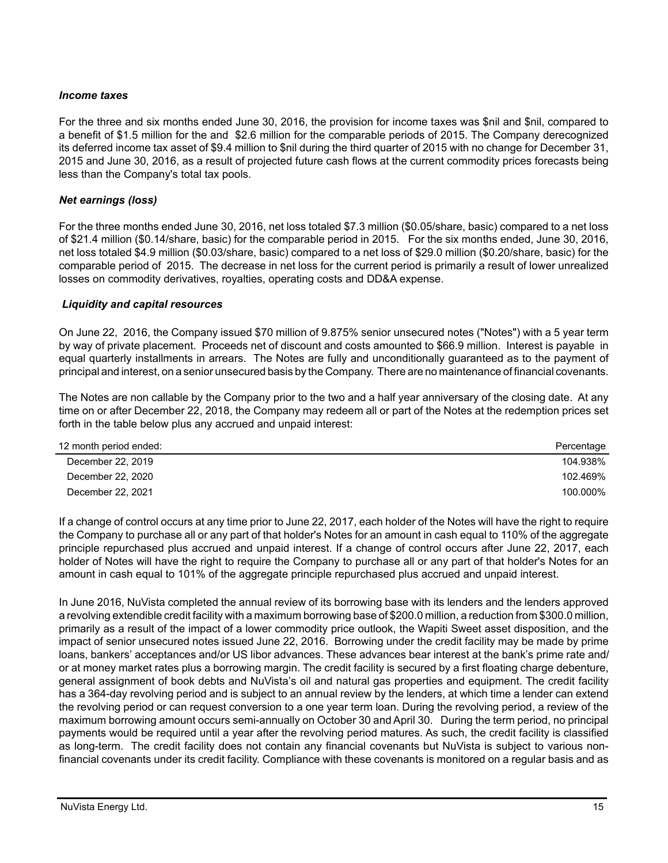# *Income taxes*

For the three and six months ended June 30, 2016, the provision for income taxes was \$nil and \$nil, compared to a benefit of \$1.5 million for the and \$2.6 million for the comparable periods of 2015. The Company derecognized its deferred income tax asset of \$9.4 million to \$nil during the third quarter of 2015 with no change for December 31, 2015 and June 30, 2016, as a result of projected future cash flows at the current commodity prices forecasts being less than the Company's total tax pools.

# *Net earnings (loss)*

For the three months ended June 30, 2016, net loss totaled \$7.3 million (\$0.05/share, basic) compared to a net loss of \$21.4 million (\$0.14/share, basic) for the comparable period in 2015. For the six months ended, June 30, 2016, net loss totaled \$4.9 million (\$0.03/share, basic) compared to a net loss of \$29.0 million (\$0.20/share, basic) for the comparable period of 2015. The decrease in net loss for the current period is primarily a result of lower unrealized losses on commodity derivatives, royalties, operating costs and DD&A expense.

#### *Liquidity and capital resources*

On June 22, 2016, the Company issued \$70 million of 9.875% senior unsecured notes ("Notes") with a 5 year term by way of private placement. Proceeds net of discount and costs amounted to \$66.9 million. Interest is payable in equal quarterly installments in arrears. The Notes are fully and unconditionally guaranteed as to the payment of principal and interest, on a senior unsecured basis by the Company. There are no maintenance of financial covenants.

The Notes are non callable by the Company prior to the two and a half year anniversary of the closing date. At any time on or after December 22, 2018, the Company may redeem all or part of the Notes at the redemption prices set forth in the table below plus any accrued and unpaid interest:

| 12 month period ended: | Percentage |
|------------------------|------------|
| December 22, 2019      | 104.938%   |
| December 22, 2020      | 102.469%   |
| December 22, 2021      | 100.000%   |

If a change of control occurs at any time prior to June 22, 2017, each holder of the Notes will have the right to require the Company to purchase all or any part of that holder's Notes for an amount in cash equal to 110% of the aggregate principle repurchased plus accrued and unpaid interest. If a change of control occurs after June 22, 2017, each holder of Notes will have the right to require the Company to purchase all or any part of that holder's Notes for an amount in cash equal to 101% of the aggregate principle repurchased plus accrued and unpaid interest.

In June 2016, NuVista completed the annual review of its borrowing base with its lenders and the lenders approved a revolving extendible credit facility with a maximum borrowing base of \$200.0 million, a reduction from \$300.0 million, primarily as a result of the impact of a lower commodity price outlook, the Wapiti Sweet asset disposition, and the impact of senior unsecured notes issued June 22, 2016. Borrowing under the credit facility may be made by prime loans, bankers' acceptances and/or US libor advances. These advances bear interest at the bank's prime rate and/ or at money market rates plus a borrowing margin. The credit facility is secured by a first floating charge debenture, general assignment of book debts and NuVista's oil and natural gas properties and equipment. The credit facility has a 364-day revolving period and is subject to an annual review by the lenders, at which time a lender can extend the revolving period or can request conversion to a one year term loan. During the revolving period, a review of the maximum borrowing amount occurs semi-annually on October 30 and April 30. During the term period, no principal payments would be required until a year after the revolving period matures. As such, the credit facility is classified as long-term. The credit facility does not contain any financial covenants but NuVista is subject to various nonfinancial covenants under its credit facility. Compliance with these covenants is monitored on a regular basis and as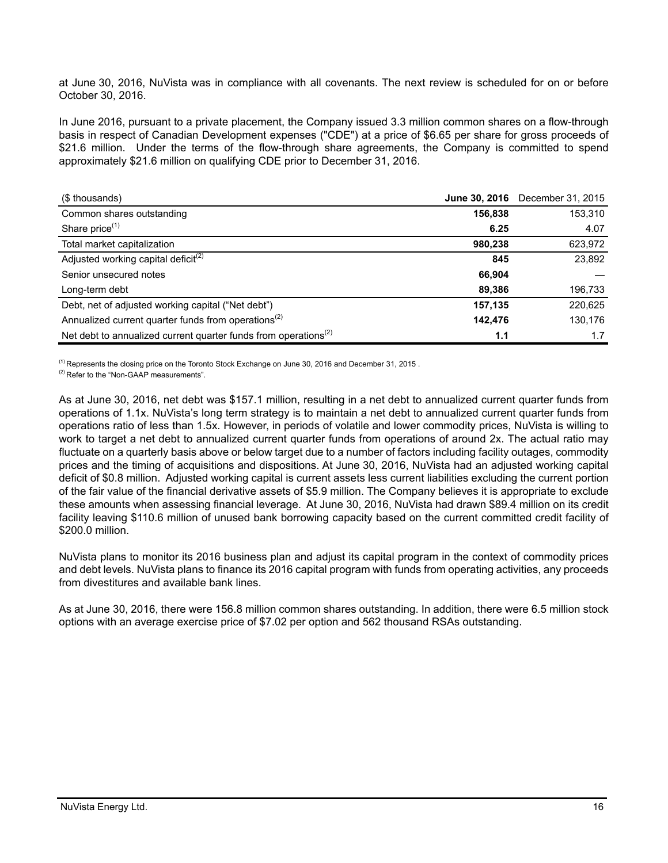at June 30, 2016, NuVista was in compliance with all covenants. The next review is scheduled for on or before October 30, 2016.

In June 2016, pursuant to a private placement, the Company issued 3.3 million common shares on a flow-through basis in respect of Canadian Development expenses ("CDE") at a price of \$6.65 per share for gross proceeds of \$21.6 million. Under the terms of the flow-through share agreements, the Company is committed to spend approximately \$21.6 million on qualifying CDE prior to December 31, 2016.

| (\$ thousands)                                                                           | <b>June 30, 2016</b> | December 31, 2015 |
|------------------------------------------------------------------------------------------|----------------------|-------------------|
| Common shares outstanding                                                                | 156,838              | 153,310           |
| Share price <sup>(1)</sup>                                                               | 6.25                 | 4.07              |
| Total market capitalization                                                              | 980,238              | 623,972           |
| Adjusted working capital deficit <sup>(2)</sup>                                          | 845                  | 23,892            |
| Senior unsecured notes                                                                   | 66.904               |                   |
| Long-term debt                                                                           | 89.386               | 196,733           |
| Debt, net of adjusted working capital ("Net debt")                                       | 157,135              | 220,625           |
| Annualized current quarter funds from operations <sup>(2)</sup>                          | 142,476              | 130,176           |
| Net debt to annualized current quarter funds from operations <sup><math>(2)</math></sup> | 1.1                  | 1.7               |

<sup>(1)</sup> Represents the closing price on the Toronto Stock Exchange on June 30, 2016 and December 31, 2015.

<sup>(2)</sup> Refer to the "Non-GAAP measurements".

As at June 30, 2016, net debt was \$157.1 million, resulting in a net debt to annualized current quarter funds from operations of 1.1x. NuVista's long term strategy is to maintain a net debt to annualized current quarter funds from operations ratio of less than 1.5x. However, in periods of volatile and lower commodity prices, NuVista is willing to work to target a net debt to annualized current quarter funds from operations of around 2x. The actual ratio may fluctuate on a quarterly basis above or below target due to a number of factors including facility outages, commodity prices and the timing of acquisitions and dispositions. At June 30, 2016, NuVista had an adjusted working capital deficit of \$0.8 million. Adjusted working capital is current assets less current liabilities excluding the current portion of the fair value of the financial derivative assets of \$5.9 million. The Company believes it is appropriate to exclude these amounts when assessing financial leverage. At June 30, 2016, NuVista had drawn \$89.4 million on its credit facility leaving \$110.6 million of unused bank borrowing capacity based on the current committed credit facility of \$200.0 million.

NuVista plans to monitor its 2016 business plan and adjust its capital program in the context of commodity prices and debt levels. NuVista plans to finance its 2016 capital program with funds from operating activities, any proceeds from divestitures and available bank lines.

As at June 30, 2016, there were 156.8 million common shares outstanding. In addition, there were 6.5 million stock options with an average exercise price of \$7.02 per option and 562 thousand RSAs outstanding.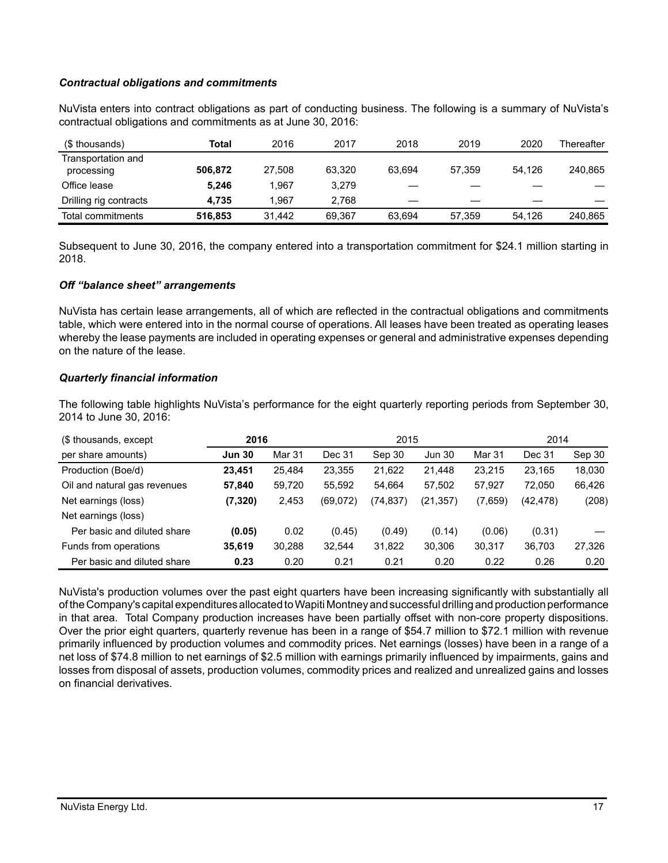# *Contractual obligations and commitments*

NuVista enters into contract obligations as part of conducting business. The following is a summary of NuVista's contractual obligations and commitments as at June 30, 2016:

| (\$ thousands)                   | Total   | 2016   | 2017   | 2018   | 2019   | 2020   | Thereafter |
|----------------------------------|---------|--------|--------|--------|--------|--------|------------|
| Transportation and<br>processing | 506.872 | 27.508 | 63.320 | 63.694 | 57.359 | 54.126 | 240.865    |
| Office lease                     | 5.246   | 1.967  | 3.279  |        |        |        |            |
| Drilling rig contracts           | 4.735   | 1.967  | 2.768  |        |        |        |            |
| Total commitments                | 516,853 | 31.442 | 69.367 | 63.694 | 57,359 | 54.126 | 240,865    |

Subsequent to June 30, 2016, the company entered into a transportation commitment for \$24.1 million starting in 2018.

#### *Off "balance sheet" arrangements*

NuVista has certain lease arrangements, all of which are reflected in the contractual obligations and commitments table, which were entered into in the normal course of operations. All leases have been treated as operating leases whereby the lease payments are included in operating expenses or general and administrative expenses depending on the nature of the lease.

#### *Quarterly financial information*

The following table highlights NuVista's performance for the eight quarterly reporting periods from September 30, 2014 to June 30, 2016:

| (\$ thousands, except        | 2016          |        | 2015     |          |               | 2014    |           |        |
|------------------------------|---------------|--------|----------|----------|---------------|---------|-----------|--------|
| per share amounts)           | <b>Jun 30</b> | Mar 31 | Dec 31   | Sep 30   | <b>Jun 30</b> | Mar 31  | Dec 31    | Sep 30 |
| Production (Boe/d)           | 23,451        | 25,484 | 23,355   | 21,622   | 21,448        | 23,215  | 23.165    | 18,030 |
| Oil and natural gas revenues | 57,840        | 59,720 | 55,592   | 54,664   | 57,502        | 57,927  | 72.050    | 66,426 |
| Net earnings (loss)          | (7, 320)      | 2,453  | (69,072) | (74,837) | (21,357)      | (7,659) | (42, 478) | (208)  |
| Net earnings (loss)          |               |        |          |          |               |         |           |        |
| Per basic and diluted share  | (0.05)        | 0.02   | (0.45)   | (0.49)   | (0.14)        | (0.06)  | (0.31)    |        |
| Funds from operations        | 35,619        | 30,288 | 32,544   | 31,822   | 30,306        | 30,317  | 36,703    | 27,326 |
| Per basic and diluted share  | 0.23          | 0.20   | 0.21     | 0.21     | 0.20          | 0.22    | 0.26      | 0.20   |

NuVista's production volumes over the past eight quarters have been increasing significantly with substantially all of the Company's capital expenditures allocated to Wapiti Montney and successful drilling and production performance in that area. Total Company production increases have been partially offset with non-core property dispositions. Over the prior eight quarters, quarterly revenue has been in a range of \$54.7 million to \$72.1 million with revenue primarily influenced by production volumes and commodity prices. Net earnings (losses) have been in a range of a net loss of \$74.8 million to net earnings of \$2.5 million with earnings primarily influenced by impairments, gains and losses from disposal of assets, production volumes, commodity prices and realized and unrealized gains and losses on financial derivatives.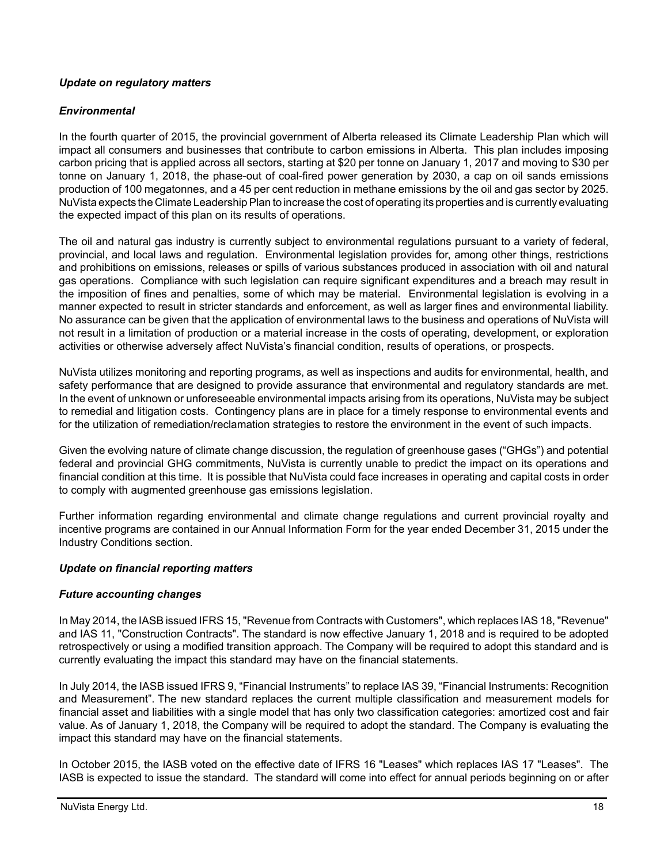# *Update on regulatory matters*

# *Environmental*

In the fourth quarter of 2015, the provincial government of Alberta released its Climate Leadership Plan which will impact all consumers and businesses that contribute to carbon emissions in Alberta. This plan includes imposing carbon pricing that is applied across all sectors, starting at \$20 per tonne on January 1, 2017 and moving to \$30 per tonne on January 1, 2018, the phase-out of coal-fired power generation by 2030, a cap on oil sands emissions production of 100 megatonnes, and a 45 per cent reduction in methane emissions by the oil and gas sector by 2025. NuVista expects the Climate Leadership Plan to increase the cost of operating its properties and is currently evaluating the expected impact of this plan on its results of operations.

The oil and natural gas industry is currently subject to environmental regulations pursuant to a variety of federal, provincial, and local laws and regulation. Environmental legislation provides for, among other things, restrictions and prohibitions on emissions, releases or spills of various substances produced in association with oil and natural gas operations. Compliance with such legislation can require significant expenditures and a breach may result in the imposition of fines and penalties, some of which may be material. Environmental legislation is evolving in a manner expected to result in stricter standards and enforcement, as well as larger fines and environmental liability. No assurance can be given that the application of environmental laws to the business and operations of NuVista will not result in a limitation of production or a material increase in the costs of operating, development, or exploration activities or otherwise adversely affect NuVista's financial condition, results of operations, or prospects.

NuVista utilizes monitoring and reporting programs, as well as inspections and audits for environmental, health, and safety performance that are designed to provide assurance that environmental and regulatory standards are met. In the event of unknown or unforeseeable environmental impacts arising from its operations, NuVista may be subject to remedial and litigation costs. Contingency plans are in place for a timely response to environmental events and for the utilization of remediation/reclamation strategies to restore the environment in the event of such impacts.

Given the evolving nature of climate change discussion, the regulation of greenhouse gases ("GHGs") and potential federal and provincial GHG commitments, NuVista is currently unable to predict the impact on its operations and financial condition at this time. It is possible that NuVista could face increases in operating and capital costs in order to comply with augmented greenhouse gas emissions legislation.

Further information regarding environmental and climate change regulations and current provincial royalty and incentive programs are contained in our Annual Information Form for the year ended December 31, 2015 under the Industry Conditions section.

# *Update on financial reporting matters*

# *Future accounting changes*

In May 2014, the IASB issued IFRS 15, "Revenue from Contracts with Customers", which replaces IAS 18, "Revenue" and IAS 11, "Construction Contracts". The standard is now effective January 1, 2018 and is required to be adopted retrospectively or using a modified transition approach. The Company will be required to adopt this standard and is currently evaluating the impact this standard may have on the financial statements.

In July 2014, the IASB issued IFRS 9, "Financial Instruments" to replace IAS 39, "Financial Instruments: Recognition and Measurement". The new standard replaces the current multiple classification and measurement models for financial asset and liabilities with a single model that has only two classification categories: amortized cost and fair value. As of January 1, 2018, the Company will be required to adopt the standard. The Company is evaluating the impact this standard may have on the financial statements.

In October 2015, the IASB voted on the effective date of IFRS 16 "Leases" which replaces IAS 17 "Leases". The IASB is expected to issue the standard. The standard will come into effect for annual periods beginning on or after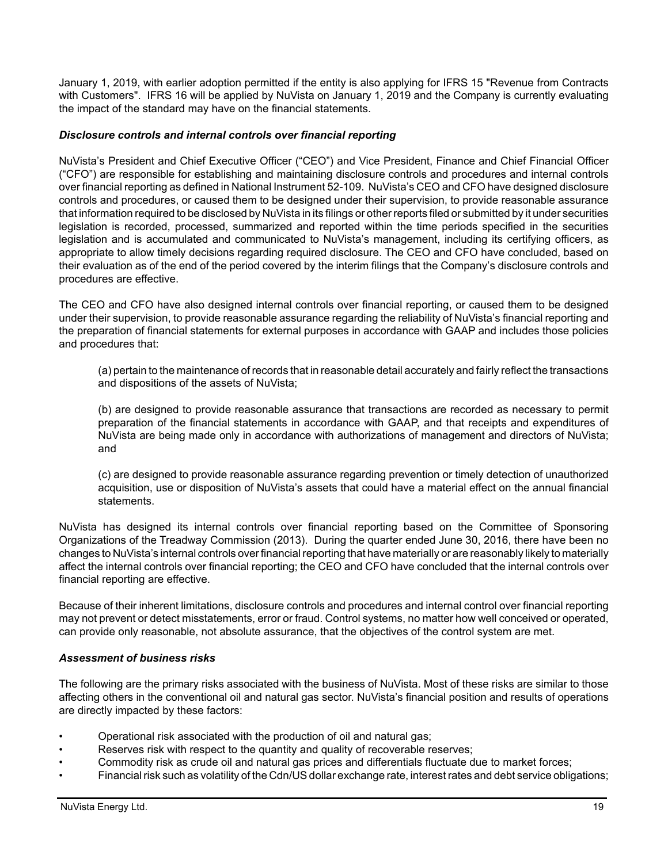January 1, 2019, with earlier adoption permitted if the entity is also applying for IFRS 15 "Revenue from Contracts with Customers". IFRS 16 will be applied by NuVista on January 1, 2019 and the Company is currently evaluating the impact of the standard may have on the financial statements.

### *Disclosure controls and internal controls over financial reporting*

NuVista's President and Chief Executive Officer ("CEO") and Vice President, Finance and Chief Financial Officer ("CFO") are responsible for establishing and maintaining disclosure controls and procedures and internal controls over financial reporting as defined in National Instrument 52-109. NuVista's CEO and CFO have designed disclosure controls and procedures, or caused them to be designed under their supervision, to provide reasonable assurance that information required to be disclosed by NuVista in its filings or other reports filed or submitted by it under securities legislation is recorded, processed, summarized and reported within the time periods specified in the securities legislation and is accumulated and communicated to NuVista's management, including its certifying officers, as appropriate to allow timely decisions regarding required disclosure. The CEO and CFO have concluded, based on their evaluation as of the end of the period covered by the interim filings that the Company's disclosure controls and procedures are effective.

The CEO and CFO have also designed internal controls over financial reporting, or caused them to be designed under their supervision, to provide reasonable assurance regarding the reliability of NuVista's financial reporting and the preparation of financial statements for external purposes in accordance with GAAP and includes those policies and procedures that:

(a) pertain to the maintenance of records that in reasonable detail accurately and fairly reflect the transactions and dispositions of the assets of NuVista;

(b) are designed to provide reasonable assurance that transactions are recorded as necessary to permit preparation of the financial statements in accordance with GAAP, and that receipts and expenditures of NuVista are being made only in accordance with authorizations of management and directors of NuVista; and

(c) are designed to provide reasonable assurance regarding prevention or timely detection of unauthorized acquisition, use or disposition of NuVista's assets that could have a material effect on the annual financial statements.

NuVista has designed its internal controls over financial reporting based on the Committee of Sponsoring Organizations of the Treadway Commission (2013). During the quarter ended June 30, 2016, there have been no changes to NuVista's internal controls over financial reporting that have materially or are reasonably likely to materially affect the internal controls over financial reporting; the CEO and CFO have concluded that the internal controls over financial reporting are effective.

Because of their inherent limitations, disclosure controls and procedures and internal control over financial reporting may not prevent or detect misstatements, error or fraud. Control systems, no matter how well conceived or operated, can provide only reasonable, not absolute assurance, that the objectives of the control system are met.

#### *Assessment of business risks*

The following are the primary risks associated with the business of NuVista. Most of these risks are similar to those affecting others in the conventional oil and natural gas sector. NuVista's financial position and results of operations are directly impacted by these factors:

- Operational risk associated with the production of oil and natural gas;
- Reserves risk with respect to the quantity and quality of recoverable reserves;
- Commodity risk as crude oil and natural gas prices and differentials fluctuate due to market forces;
- Financial risk such as volatility of the Cdn/US dollar exchange rate, interest rates and debt service obligations;